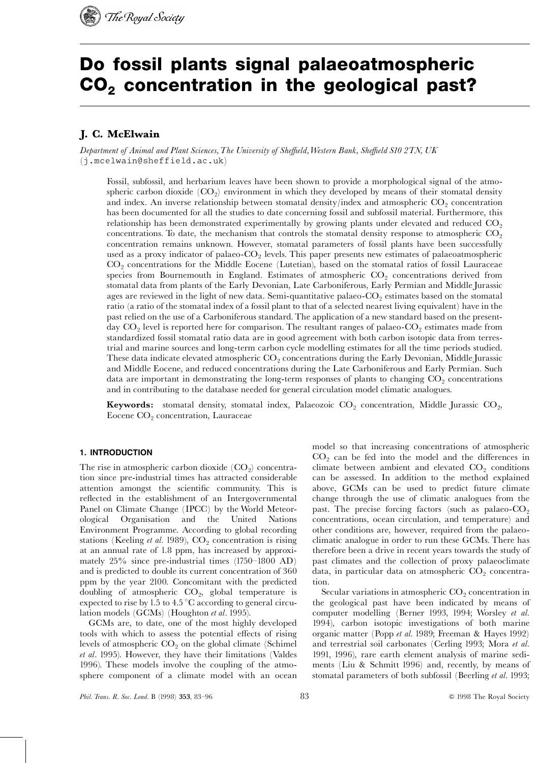

# Do fossil plants signal palaeoatmospheric CO<sub>2</sub> concentration in the geological past?

# J. C. McElwain

Department of Animal and Plant Sciences, The University of Sheffield, Western Bank, Sheffield S10 2TN, UK (j.mcelwain@sheffield.ac.uk)

Fossil, subfossil, and herbarium leaves have been shown to provide a morphological signal of the atmospheric carbon dioxide  $(CO<sub>2</sub>)$  environment in which they developed by means of their stomatal density and index. An inverse relationship between stomatal density/index and atmospheric  $CO<sub>2</sub>$  concentration has been documented for all the studies to date concerning fossil and subfossil material. Furthermore, this relationship has been demonstrated experimentally by growing plants under elevated and reduced  $CO<sub>2</sub>$ concentrations. To date, the mechanism that controls the stomatal density response to atmospheric  $CO<sub>2</sub>$ concentration remains unknown. However, stomatal parameters of fossil plants have been successfully used as a proxy indicator of palaeo- $CO<sub>2</sub>$  levels. This paper presents new estimates of palaeoatmospheric CO<sub>2</sub> concentrations for the Middle Eocene (Lutetian), based on the stomatal ratios of fossil Lauraceae species from Bournemouth in England. Estimates of atmospheric  $CO<sub>2</sub>$  concentrations derived from stomatal data from plants of the Early Devonian, Late Carboniferous, Early Permian and Middle Jurassic ages are reviewed in the light of new data. Semi-quantitative palaeo- $CO<sub>2</sub>$  estimates based on the stomatal ratio (a ratio of the stomatal index of a fossil plant to that of a selected nearest living equivalent) have in the past relied on the use of a Carboniferous standard. The application of a new standard based on the presentday  $CO<sub>2</sub>$  level is reported here for comparison. The resultant ranges of palaeo- $CO<sub>2</sub>$  estimates made from standardized fossil stomatal ratio data are in good agreement with both carbon isotopic data from terrestrial and marine sources and long-term carbon cycle modelling estimates for all the time periods studied. These data indicate elevated atmospheric  $CO<sub>2</sub>$  concentrations during the Early Devonian, Middle Jurassic and Middle Eocene, and reduced concentrations during the Late Carboniferous and Early Permian. Such data are important in demonstrating the long-term responses of plants to changing  $CO<sub>2</sub>$  concentrations and in contributing to the database needed for general circulation model climatic analogues.

**Keywords:** stomatal density, stomatal index, Palaeozoic  $CO_2$  concentration, Middle Jurassic  $CO_2$ , Eocene CO<sub>2</sub> concentration, Lauraceae

# 1. INTRODUCTION

The rise in atmospheric carbon dioxide  $(CO<sub>2</sub>)$  concentration since pre-industrial times has attracted considerable attention amongst the scientific community. This is reflected in the establishment of an Intergovernmental Panel on Climate Change (IPCC) by the World Meteorological Organisation and the United Nations Environment Programme. According to global recording stations (Keeling *et al.* 1989),  $CO_2$  concentration is rising at an annual rate of 1.8 ppm, has increased by approximately  $25\%$  since pre-industrial times  $(1750-1800$  AD) and is predicted to double its current concentration of 360 ppm by the year 2100. Concomitant with the predicted doubling of atmospheric  $CO<sub>2</sub>$ , global temperature is expected to rise by 1.5 to 4.5  $\mathrm{^{\circ}C}$  according to general circulation models (GCMs) (Houghton et al. 1995).

GCMs are, to date, one of the most highly developed tools with which to assess the potential effects of rising levels of atmospheric  $CO<sub>2</sub>$  on the global climate (Schimel et al. 1995). However, they have their limitations (Valdes 1996). These models involve the coupling of the atmosphere component of a climate model with an ocean model so that increasing concentrations of atmospheric  $CO<sub>2</sub>$  can be fed into the model and the differences in climate between ambient and elevated  $CO<sub>2</sub>$  conditions can be assessed. In addition to the method explained above, GCMs can be used to predict future climate change through the use of climatic analogues from the past. The precise forcing factors (such as palaeo- $CO<sub>2</sub>$ concentrations, ocean circulation, and temperature) and other conditions are, however, required from the palaeoclimatic analogue in order to run these GCMs. There has therefore been a drive in recent years towards the study of past climates and the collection of proxy palaeoclimate data, in particular data on atmospheric  $CO<sub>2</sub>$  concentration.

Secular variations in atmospheric  $CO<sub>2</sub>$  concentration in the geological past have been indicated by means of computer modelling (Berner 1993, 1994; Worsley et al. 1994), carbon isotopic investigations of both marine organic matter (Popp et al. 1989; Freeman & Hayes 1992) and terrestrial soil carbonates (Cerling 1993; Mora et al. 1991, 1996), rare earth element analysis of marine sediments (Liu & Schmitt 1996) and, recently, by means of stomatal parameters of both subfossil (Beerling et al. 1993;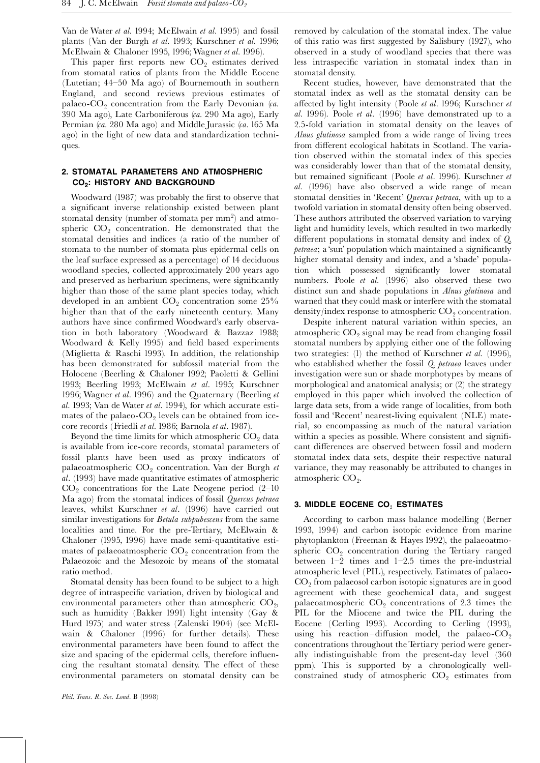Van de Water et al. 1994; McElwain et al. 1995) and fossil plants (Van der Burgh et al. 1993; Kurschner et al. 1996; McElwain & Chaloner 1995, 1996; Wagner et al. 1996).

This paper first reports new  $CO<sub>2</sub>$  estimates derived from stomatal ratios of plants from the Middle Eocene (Lutetian;  $44-50$  Ma ago) of Bournemouth in southern England, and second reviews previous estimates of palaeo- $CO<sub>2</sub>$  concentration from the Early Devonian (ca. 390 Ma ago), Late Carboniferous (ca. 290 Ma ago), Early Permian (ca. 280 Ma ago) and Middle Jurassic (ca. 165 Ma ago) in the light of new data and standardization techniques.

# 2. STOMATAL PARAMETERS AND ATMOSPHERIC CO<sub>2</sub>: HISTORY AND BACKGROUND

Woodward (1987) was probably the first to observe that a significant inverse relationship existed between plant stomatal density (number of stomata per  $\mathrm{mm}^2)$  and atmospheric  $CO<sub>2</sub>$  concentration. He demonstrated that the stomatal densities and indices (a ratio of the number of stomata to the number of stomata plus epidermal cells on the leaf surface expressed as a percentage) of 14 deciduous woodland species, collected approximately 200 years ago and preserved as herbarium specimens, were significantly higher than those of the same plant species today, which developed in an ambient  $CO<sub>2</sub>$  concentration some 25% higher than that of the early nineteenth century. Many authors have since confirmed Woodward's early observation in both laboratory (Woodward & Bazzaz 1988; Woodward & Kelly 1995) and field based experiments (Miglietta & Raschi 1993). In addition, the relationship has been demonstrated for subfossil material from the Holocene (Beerling & Chaloner 1992; Paoletti & Gellini 1993; Beerling 1993; McElwain et al. 1995; Kurschner 1996; Wagner et al. 1996) and the Quaternary (Beerling et al. 1993; Van de Water et al. 1994), for which accurate estimates of the palaeo- $CO<sub>2</sub>$  levels can be obtained from icecore records (Friedli et al. 1986; Barnola et al. 1987).

Beyond the time limits for which atmospheric  $CO<sub>2</sub>$  data is available from ice-core records, stomatal parameters of fossil plants have been used as proxy indicators of palaeoatmospheric  $CO<sub>2</sub>$  concentration. Van der Burgh et al. (1993) have made quantitative estimates of atmospheric  $CO<sub>2</sub>$  concentrations for the Late Neogene period (2-10) Ma ago) from the stomatal indices of fossil Quercus petraea leaves, whilst Kurschner et al. (1996) have carried out similar investigations for Betula subpubescens from the same localities and time. For the pre-Tertiary, McElwain & Chaloner (1995, 1996) have made semi-quantitative estimates of palaeoatmospheric  $CO<sub>2</sub>$  concentration from the Palaeozoic and the Mesozoic by means of the stomatal ratio method.

Stomatal density has been found to be subject to a high degree of intraspecific variation, driven by biological and environmental parameters other than atmospheric  $CO<sub>2</sub>$ , such as humidity (Bakker 1991) light intensity (Gay & Hurd 1975) and water stress (Zalenski 1904) (see McElwain & Chaloner (1996) for further details). These environmental parameters have been found to affect the size and spacing of the epidermal cells, therefore influencing the resultant stomatal density. The effect of these environmental parameters on stomatal density can be

Recent studies, however, have demonstrated that the stomatal index as well as the stomatal density can be affected by light intensity (Poole et al. 1996; Kurschner et al. 1996). Poole et al. (1996) have demonstrated up to a 2.5-fold variation in stomatal density on the leaves of Alnus glutinosa sampled from a wide range of living trees from different ecological habitats in Scotland. The variation observed within the stomatal index of this species was considerably lower than that of the stomatal density, but remained significant (Poole *et al.* 1996). Kurschner *et* al. (1996) have also observed a wide range of mean stomatal densities in 'Recent' Quercus petraea, with up to a twofold variation in stomatal density often being observed. These authors attributed the observed variation to varying light and humidity levels, which resulted in two markedly different populations in stomatal density and index of  $Q$ . petraea; a 'sun' population which maintained a significantly higher stomatal density and index, and a 'shade' population which possessed significantly lower stomatal numbers. Poole *et al.* (1996) also observed these two distinct sun and shade populations in Alnus glutinosa and warned that they could mask or interfere with the stomatal density/index response to atmospheric  $CO<sub>2</sub>$  concentration.

Despite inherent natural variation within species, an atmospheric  $CO<sub>2</sub>$  signal may be read from changing fossil stomatal numbers by applying either one of the following two strategies: (1) the method of Kurschner et al. (1996), who established whether the fossil Q. petraea leaves under investigation were sun or shade morphotypes by means of morphological and anatomical analysis; or (2) the strategy employed in this paper which involved the collection of large data sets, from a wide range of localities, from both fossil and 'Recent' nearest-living equivalent (NLE) material, so encompassing as much of the natural variation within a species as possible. Where consistent and significant differences are observed between fossil and modern stomatal index data sets, despite their respective natural variance, they may reasonably be attributed to changes in atmospheric  $CO<sub>2</sub>$ .

# 3. MIDDLE EOCENE  $CO<sub>2</sub>$  ESTIMATES

According to carbon mass balance modelling (Berner 1993, 1994) and carbon isotopic evidence from marine phytoplankton (Freeman & Hayes 1992), the palaeoatmospheric  $CO<sub>2</sub>$  concentration during the Tertiary ranged between  $1-2$  times and  $1-2.5$  times the pre-industrial atmospheric level (PIL), respectively. Estimates of palaeo-CO2 from palaeosol carbon isotopic signatures are in good agreement with these geochemical data, and suggest palaeoatmospheric  $CO<sub>2</sub>$  concentrations of 2.3 times the PIL for the Miocene and twice the PIL during the Eocene (Cerling 1993). According to Cerling (1993), using his reaction-diffusion model, the palaeo- $CO<sub>2</sub>$ concentrations throughout the Tertiary period were generally indistinguishable from the present-day level (360 ppm). This is supported by a chronologically wellconstrained study of atmospheric  $CO<sub>2</sub>$  estimates from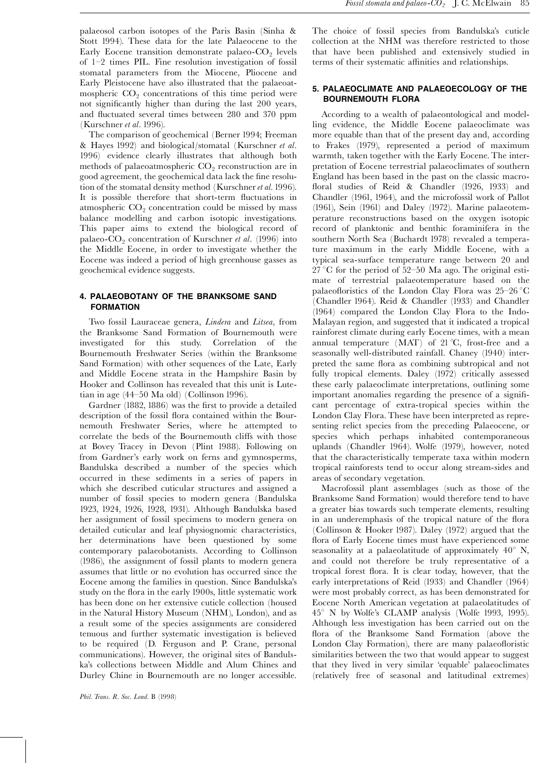palaeosol carbon isotopes of the Paris Basin (Sinha & Stott 1994). These data for the late Palaeocene to the Early Eocene transition demonstrate palaeo- $CO<sub>2</sub>$  levels of 1^2 times PIL. Fine resolution investigation of fossil stomatal parameters from the Miocene, Pliocene and Early Pleistocene have also illustrated that the palaeoatmospheric  $CO<sub>2</sub>$  concentrations of this time period were not significantly higher than during the last 200 years, and fluctuated several times between 280 and 370 ppm (Kurschner et al. 1996).

The comparison of geochemical (Berner 1994; Freeman & Hayes 1992) and biological/stomatal (Kurschner et al. 1996) evidence clearly illustrates that although both methods of palaeoatmospheric  $CO<sub>2</sub>$  reconstruction are in good agreement, the geochemical data lack the fine resolution of the stomatal density method (Kurschner et al. 1996). It is possible therefore that short-term fluctuations in atmospheric  $CO<sub>2</sub>$  concentration could be missed by mass balance modelling and carbon isotopic investigations. This paper aims to extend the biological record of palaeo- $CO<sub>2</sub>$  concentration of Kurschner et al. (1996) into the Middle Eocene, in order to investigate whether the Eocene was indeed a period of high greenhouse gasses as geochemical evidence suggests.

# 4. PALAEOBOTANY OF THE BRANKSOME SAND FORMATION

Two fossil Lauraceae genera, Lindera and Litsea, from the Branksome Sand Formation of Bournemouth were investigated for this study. Correlation of the Bournemouth Freshwater Series (within the Branksome Sand Formation) with other sequences of the Late, Early and Middle Eocene strata in the Hampshire Basin by Hooker and Collinson has revealed that this unit is Lutetian in age  $(44–50$  Ma old) (Collinson 1996).

Gardner (1882, 1886) was the first to provide a detailed description of the fossil flora contained within the Bournemouth Freshwater Series, where he attempted to correlate the beds of the Bournemouth cliffs with those at Bovey Tracey in Devon (Plint 1988). Following on from Gardner's early work on ferns and gymnosperms, Bandulska described a number of the species which occurred in these sediments in a series of papers in which she described cuticular structures and assigned a number of fossil species to modern genera (Bandulska 1923, 1924, 1926, 1928, 1931). Although Bandulska based her assignment of fossil specimens to modern genera on detailed cuticular and leaf physiognomic characteristics, her determinations have been questioned by some contemporary palaeobotanists. According to Collinson (1986), the assignment of fossil plants to modern genera assumes that little or no evolution has occurred since the Eocene among the families in question. Since Bandulska's study on the flora in the early 1900s, little systematic work has been done on her extensive cuticle collection (housed in the Natural History Museum (NHM), London), and as a result some of the species assignments are considered tenuous and further systematic investigation is believed to be required (D. Ferguson and P. Crane, personal communications). However, the original sites of Bandulska's collections between Middle and Alum Chines and Durley Chine in Bournemouth are no longer accessible.

The choice of fossil species from Bandulska's cuticle collection at the NHM was therefore restricted to those that have been published and extensively studied in terms of their systematic affinities and relationships.

#### 5. PALAEOCLIMATE AND PALAEOECOLOGY OF THE BOURNEMOUTH FLORA

According to a wealth of palaeontological and modelling evidence, the Middle Eocene palaeoclimate was more equable than that of the present day and, according to Frakes (1979), represented a period of maximum warmth, taken together with the Early Eocene. The interpretation of Eocene terrestrial palaeoclimates of southern England has been based in the past on the classic macro floral studies of Reid & Chandler (1926, 1933) and Chandler (1961, 1964), and the microfossil work of Pallot (1961), Sein (1961) and Daley (1972). Marine palaeotemperature reconstructions based on the oxygen isotopic record of planktonic and benthic foraminifera in the southern North Sea (Buchardt 1978) revealed a temperature maximum in the early Middle Eocene, with a typical sea-surface temperature range between 20 and  $27^{\circ}$ C for the period of 52-50 Ma ago. The original estimate of terrestrial palaeotemperature based on the palaeofloristics of the London Clay Flora was  $25-26$  °C (Chandler 1964). Reid & Chandler (1933) and Chandler (1964) compared the London Clay Flora to the Indo-Malayan region, and suggested that it indicated a tropical rainforest climate during early Eocene times, with a mean annual temperature (MAT) of  $21^{\circ}C$ , frost-free and a seasonally well-distributed rainfall. Chaney (1940) interpreted the same flora as combining subtropical and not fully tropical elements. Daley (1972) critically assessed these early palaeoclimate interpretations, outlining some important anomalies regarding the presence of a significant percentage of extra-tropical species within the London Clay Flora. These have been interpreted as representing relict species from the preceding Palaeocene, or species which perhaps inhabited contemporaneous uplands (Chandler 1964). Wolfe (1979), however, noted that the characteristically temperate taxa within modern tropical rainforests tend to occur along stream-sides and areas of secondary vegetation.

Macrofossil plant assemblages (such as those of the Branksome Sand Formation) would therefore tend to have a greater bias towards such temperate elements, resulting in an underemphasis of the tropical nature of the flora (Collinson & Hooker 1987). Daley (1972) argued that the flora of Early Eocene times must have experienced some seasonality at a palaeolatitude of approximately  $40^{\circ}$  N, and could not therefore be truly representative of a tropical forest flora. It is clear today, however, that the early interpretations of Reid (1933) and Chandler (1964) were most probably correct, as has been demonstrated for Eocene North American vegetation at palaeolatitudes of 458 N by Wolfe's CLAMP analysis (Wolfe 1993, 1995). Although less investigation has been carried out on the flora of the Branksome Sand Formation (above the London Clay Formation), there are many palaeofloristic similarities between the two that would appear to suggest that they lived in very similar 'equable' palaeoclimates (relatively free of seasonal and latitudinal extremes)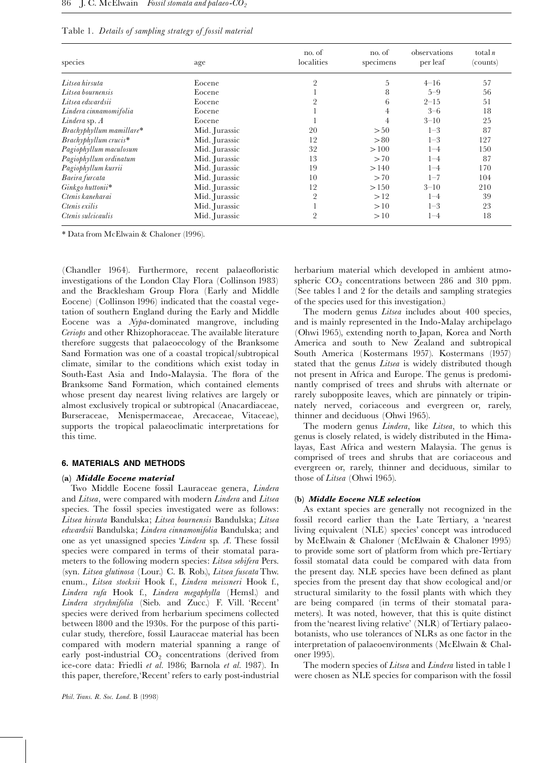| Table 1. Details of sampling strategy of fossil material |  |  |
|----------------------------------------------------------|--|--|
|                                                          |  |  |

| species                  | age           | no. of<br>localities | no. of<br>specimens | observations<br>per leaf | total $n$<br>(counts) |
|--------------------------|---------------|----------------------|---------------------|--------------------------|-----------------------|
| Litsea hirsuta           | Eocene        | $\overline{2}$       | 5                   | $4 - 16$                 | 57                    |
| Litsea bournensis        | Eocene        |                      | 8                   | $5 - 9$                  | 56                    |
| Litsea edwardsii         | Eocene        | $\overline{2}$       | 6                   | $2 - 15$                 | 51                    |
| Lindera cinnamomifolia   | Eocene        |                      | $\overline{4}$      | $3 - 6$                  | 18                    |
| Lindera sp. $A$          | Eocene        |                      | 4                   | $3 - 10$                 | 25                    |
| Brachyphyllum mamillare* | Mid. Jurassic | 20                   | > 50                | $1 - 3$                  | 87                    |
| Brachyphyllum crucis*    | Mid. Jurassic | 12                   | > 80                | $1 - 3$                  | 127                   |
| Pagiophyllum maculosum   | Mid. Jurassic | 32                   | >100                | $1 - 4$                  | 150                   |
| Pagiophyllum ordinatum   | Mid. Jurassic | 13                   | >70                 | $1 - 4$                  | 87                    |
| Pagiophyllum kurrii      | Mid. Jurassic | 19                   | >140                | $1 - 4$                  | 170                   |
| Baeira furcata           | Mid. Jurassic | 10                   | >70                 | $1 - 7$                  | 104                   |
| Ginkgo huttonii*         | Mid. Jurassic | 12                   | >150                | $3 - 10$                 | 210                   |
| Ctenis kaneharai         | Mid. Jurassic | $\overline{2}$       | >12                 | $1 - 4$                  | 39                    |
| Ctenis exilis            | Mid. Jurassic |                      | >10                 | $1 - 3$                  | 23                    |
| Ctenis sulcicaulis       | Mid. Jurassic | $\overline{2}$       | >10                 | 1–4                      | 18                    |

\* Data from McElwain & Chaloner (1996).

(Chandler 1964). Furthermore, recent palaeofloristic investigations of the London Clay Flora (Collinson 1983) and the Bracklesham Group Flora (Early and Middle Eocene) (Collinson 1996) indicated that the coastal vegetation of southern England during the Early and Middle Eocene was a Nypa-dominated mangrove, including Ceriops and other Rhizophoraceae. The available literature therefore suggests that palaeoecology of the Branksome Sand Formation was one of a coastal tropical/subtropical climate, similar to the conditions which exist today in South-East Asia and Indo-Malaysia. The flora of the Branksome Sand Formation, which contained elements whose present day nearest living relatives are largely or almost exclusively tropical or subtropical (Anacardiaceae, Burseraceae, Menispermaceae, Arecaceae, Vitaceae), supports the tropical palaeoclimatic interpretations for this time.

#### 6. MATERIALS AND METHODS

#### (a) Middle Eocene material

Two Middle Eocene fossil Lauraceae genera, Lindera and Litsea, were compared with modern Lindera and Litsea species. The fossil species investigated were as follows: Litsea hirsuta Bandulska; Litsea bournensis Bandulska; Litsea edwardsii Bandulska; Lindera cinnamonifolia Bandulska; and one as yet unassigned species 'Lindera sp. A'. These fossil species were compared in terms of their stomatal parameters to the following modern species: Litsea sebifera Pers. (syn. Litsea glutinosa (Lour.) C. B. Rob.), Litsea fuscata Thw. enum., Litsea stocksii Hook f., Lindera meissneri Hook f., Lindera rufa Hook f., Lindera megaphylla (Hemsl.) and Lindera strychnifolia (Sieb. and Zucc.) F. Vill. `Recent' species were derived from herbarium specimens collected between 1800 and the 1930s. For the purpose of this particular study, therefore, fossil Lauraceae material has been compared with modern material spanning a range of early post-industrial  $CO<sub>2</sub>$  concentrations (derived from ice-core data: Friedli et al. 1986; Barnola et al. 1987). In this paper, therefore,`Recent'refers to early post-industrial herbarium material which developed in ambient atmospheric  $CO<sub>2</sub>$  concentrations between 286 and 310 ppm. (See tables 1 and 2 for the details and sampling strategies of the species used for this investigation.)

The modern genus *Litsea* includes about 400 species, and is mainly represented in the Indo-Malay archipelago (Ohwi 1965), extending north to Japan, Korea and North America and south to New Zealand and subtropical South America (Kostermans 1957). Kostermans (1957) stated that the genus *Litsea* is widely distributed though not present in Africa and Europe. The genus is predominantly comprised of trees and shrubs with alternate or rarely subopposite leaves, which are pinnately or tripinnately nerved, coriaceous and evergreen or, rarely, thinner and deciduous (Ohwi 1965).

The modern genus *Lindera*, like *Litsea*, to which this genus is closely related, is widely distributed in the Himalayas, East Africa and western Malaysia. The genus is comprised of trees and shrubs that are coriaceous and evergreen or, rarely, thinner and deciduous, similar to those of Litsea (Ohwi 1965).

#### (b) Middle Eocene NLE selection

As extant species are generally not recognized in the fossil record earlier than the Late Tertiary, a `nearest living equivalent (NLE) species' concept was introduced by McElwain & Chaloner (McElwain & Chaloner 1995) to provide some sort of platform from which pre-Tertiary fossil stomatal data could be compared with data from the present day. NLE species have been defined as plant species from the present day that show ecological and/or structural similarity to the fossil plants with which they are being compared (in terms of their stomatal parameters). It was noted, however, that this is quite distinct from the 'nearest living relative' (NLR) of Tertiary palaeobotanists, who use tolerances of NLRs as one factor in the interpretation of palaeoenvironments (McElwain & Chaloner 1995).

The modern species of *Litsea* and *Lindera* listed in table 1 were chosen as NLE species for comparison with the fossil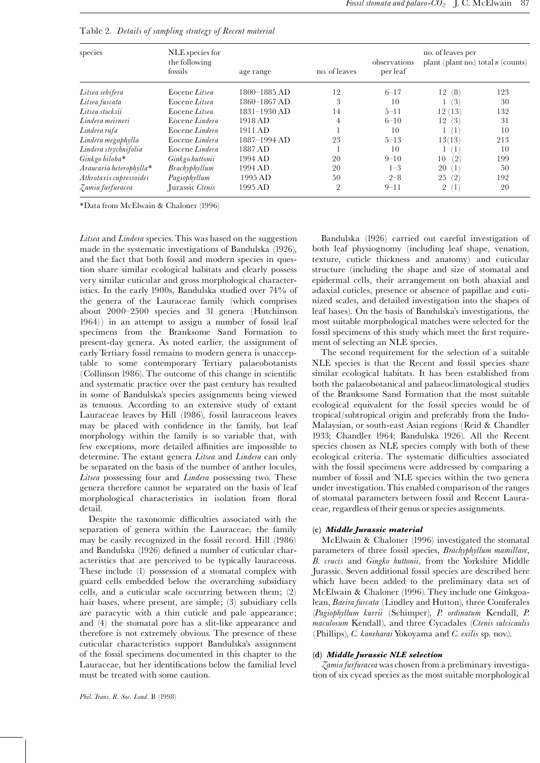| species                 | NLE species for<br>the following<br>fossils | age range        | no. of leaves  | observations<br>per leaf | no. of leaves per<br>plant (plant no.) total $n$ (counts) |     |  |
|-------------------------|---------------------------------------------|------------------|----------------|--------------------------|-----------------------------------------------------------|-----|--|
| Litsea sebifera         | Eocene Litsea                               | $1800 - 1885$ AD | 12             | $6 - 17$                 | (8)<br>12                                                 | 123 |  |
| Litsea fuscata          | Eocene Litsea                               | 1860-1867 AD     | 3              | 10                       | (3)                                                       | 30  |  |
| Litsea stocksii         | Eocene Litsea                               | $1831 - 1930$ AD | 14             | $5 - 11$                 | (13)<br>12                                                | 132 |  |
| Lindera meisneri        | Eocene Lindera                              | 1918 AD          | 4              | $6 - 10$                 | (3)<br>12                                                 | 31  |  |
| Lindera rufa            | Eocene Lindera                              | 1911 AD          |                | 10                       | $\left  \right $                                          | 10  |  |
| Lindera megaphylla      | Eocene Lindera                              | 1887-1994 AD     | 23             | $5 - 13$                 | 13(13)                                                    | 213 |  |
| Lindera strychnifolia   | Eocene Lindera                              | 1887 AD          |                | 10                       | $^{\prime}1^{\cdot}$                                      | 10  |  |
| Ginkgo biloba*          | Ginkgo huttonii                             | 1994 AD          | 20             | $9 - 10$                 | (2)<br>10                                                 | 199 |  |
| Araucaria heterophylla* | Brachyphyllum                               | 1994 AD          | 20             | $1 - 3$                  | 20<br>(1)                                                 | 50  |  |
| Athrotaxis cupressoides | Pagiophyllum                                | 1995 AD          | 50             | $2 - 8$                  | (2)<br>25                                                 | 192 |  |
| Zamia furfuracea        | Jurassic Ctenis                             | 1995 AD          | $\overline{2}$ | $9 - 11$                 | $\left(1\right)$<br>$\overline{2}$                        | 20  |  |

Table 2. Details of sampling strategy of Recent material

\*Data from McElwain & Chaloner (1996)

Litsea and Lindera species. This was based on the suggestion made in the systematic investigations of Bandulska (1926), and the fact that both fossil and modern species in question share similar ecological habitats and clearly possess very similar cuticular and gross morphological characteristics. In the early 1900s, Bandulska studied over 74% of the genera of the Lauraceae family (which comprises about 2000^2500 species and 31 genera (Hutchinson 1964)) in an attempt to assign a number of fossil leaf specimens from the Branksome Sand Formation to present-day genera. As noted earlier, the assignment of earlyTertiary fossil remains to modern genera is unacceptable to some contemporary Tertiary palaeobotanists (Collinson 1986). The outcome of this change in scientific and systematic practice over the past century has resulted in some of Bandulska's species assignments being viewed as tenuous. According to an extensive study of extant Lauraceae leaves by Hill (1986), fossil lauraceous leaves may be placed with confidence in the family, but leaf morphology within the family is so variable that, with few exceptions, more detailed affinities are impossible to determine. The extant genera Litsea and Lindera can only be separated on the basis of the number of anther locules, Litsea possessing four and Lindera possessing two. These genera therefore cannot be separated on the basis of leaf morphological characteristics in isolation from floral detail.

Despite the taxonomic difficulties associated with the separation of genera within the Lauraceae, the family may be easily recognized in the fossil record. Hill (1986) and Bandulska (1926) defined a number of cuticular characteristics that are perceived to be typically lauraceous. These include (1) possession of a stomatal complex with guard cells embedded below the overarching subsidiary cells, and a cuticular scale occurring between them; (2) hair bases, where present, are simple; (3) subsidiary cells are paracytic with a thin cuticle and pale appearance; and (4) the stomatal pore has a slit-like appearance and therefore is not extremely obvious. The presence of these cuticular characteristics support Bandulska's assignment of the fossil specimens documented in this chapter to the Lauraceae, but her identifications below the familial level must be treated with some caution.

Bandulska (1926) carried out careful investigation of both leaf physiognomy (including leaf shape, venation, texture, cuticle thickness and anatomy) and cuticular structure (including the shape and size of stomatal and epidermal cells, their arrangement on both abaxial and adaxial cuticles, presence or absence of papillae and cutinized scales, and detailed investigation into the shapes of leaf bases). On the basis of Bandulska's investigations, the most suitable morphological matches were selected for the fossil specimens of this study which meet the first requirement of selecting an NLE species.

The second requirement for the selection of a suitable NLE species is that the Recent and fossil species share similar ecological habitats. It has been established from both the palaeobotanical and palaeoclimatological studies of the Branksome Sand Formation that the most suitable ecological equivalent for the fossil species would be of tropical/subtropical origin and preferably from the Indo-Malaysian, or south-east Asian regions (Reid & Chandler 1933; Chandler 1964; Bandulska 1926). All the Recent species chosen as NLE species comply with both of these ecological criteria. The systematic difficulties associated with the fossil specimens were addressed by comparing a number of fossil and NLE species within the two genera under investigation.This enabled comparison of the ranges of stomatal parameters between fossil and Recent Lauraceae, regardless of their genus or species assignments.

# (c) Middle Jurassic material

McElwain & Chaloner (1996) investigated the stomatal parameters of three fossil species, Brachyphyllum mamillare, B. crucis and Gingko huttonii, from the Yorkshire Middle Jurassic. Seven additional fossil species are described here which have been added to the preliminary data set of McElwain & Chaloner (1996). They include one Ginkgoalean, Baeira furcata (Lindley and Hutton), three Coniferales (Pagiophyllum kurrii (Schimper), P. ordinatum Kendall, P. maculosum Kendall), and three Cycadales (Ctenis sulcicaulis (Phillips), C. kaneharai Yokoyama and C. exilis sp. nov.).

# (d) Middle Jurassic NLE selection

Zamia furfuracea was chosen from a preliminary investigation of six cycad species as the most suitable morphological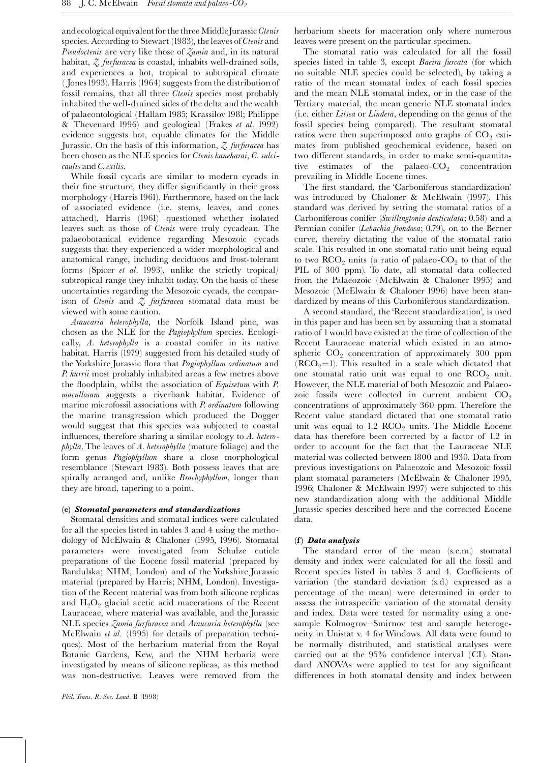and ecological equivalent for the three Middle Jurassic Ctenis species. According to Stewart (1983), the leaves of Ctenis and Pseudoctenis are very like those of  $\zeta$ amia and, in its natural habitat,  $\zeta$  furfuracea is coastal, inhabits well-drained soils, and experiences a hot, tropical to subtropical climate (Jones 1993). Harris (1964) suggests from the distribution of fossil remains, that all three Ctenis species most probably inhabited the well-drained sides of the delta and the wealth of palaeontological (Hallam 1985; Krassilov 1981; Philippe & Thevenard 1996) and geological (Frakes et al. 1992) evidence suggests hot, equable climates for the Middle Jurassic. On the basis of this information,  $\zeta$  furfuracea has been chosen as the NLE species for Ctenis kaneharai, C. sulcicaulis and C. exilis.

While fossil cycads are similar to modern cycads in their fine structure, they differ significantly in their gross morphology (Harris 1961). Furthermore, based on the lack of associated evidence (i.e. stems, leaves, and cones attached), Harris (1961) questioned whether isolated leaves such as those of Ctenis were truly cycadean. The palaeobotanical evidence regarding Mesozoic cycads suggests that they experienced a wider morphological and anatomical range, including deciduous and frost-tolerant forms (Spicer et al. 1993), unlike the strictly tropical/ subtropical range they inhabit today. On the basis of these uncertainties regarding the Mesozoic cycads, the comparison of Ctenis and  $\zeta$  furfuracea stomatal data must be viewed with some caution.

Araucaria heterophylla, the Norfolk Island pine, was chosen as the NLE for the Pagiophyllum species. Ecologically, A. heterophylla is a coastal conifer in its native habitat. Harris (1979) suggested from his detailed study of the Yorkshire Jurassic flora that *Pagiophyllum ordinatum* and P. kurrii most probably inhabited areas a few metres above the floodplain, whilst the association of  $Equise$ tum with  $P$ . macullosum suggests a riverbank habitat. Evidence of marine microfossil associations with *P. ordinatum* following the marine transgression which produced the Dogger would suggest that this species was subjected to coastal influences, therefore sharing a similar ecology to  $\Lambda$ . hetero $phylla$ . The leaves of  $A$ . heterophylla (mature foliage) and the form genus Pagiophyllum share a close morphological resemblance (Stewart 1983). Both possess leaves that are spirally arranged and, unlike *Brachyphyllum*, longer than they are broad, tapering to a point.

# (e) Stomatal parameters and standardizations

Stomatal densities and stomatal indices were calculated for all the species listed in tables 3 and 4 using the methodology of McElwain & Chaloner (1995, 1996). Stomatal parameters were investigated from Schulze cuticle preparations of the Eocene fossil material (prepared by Bandulska; NHM, London) and of the Yorkshire Jurassic material (prepared by Harris; NHM, London). Investigation of the Recent material was from both silicone replicas and  $H_2O_2$  glacial acetic acid macerations of the Recent Lauraceae, where material was available, and the Jurassic NLE species Zamia furfuracea and Araucaria heterophylla (see McElwain et al. (1995) for details of preparation techniques). Most of the herbarium material from the Royal Botanic Gardens, Kew, and the NHM herbaria were investigated by means of silicone replicas, as this method was non-destructive. Leaves were removed from the herbarium sheets for maceration only where numerous leaves were present on the particular specimen.

The stomatal ratio was calculated for all the fossil species listed in table 3, except Baeira furcata (for which no suitable NLE species could be selected), by taking a ratio of the mean stomatal index of each fossil species and the mean NLE stomatal index, or in the case of the Tertiary material, the mean generic NLE stomatal index (i.e. either Litsea or Lindera, depending on the genus of the fossil species being compared). The resultant stomatal ratios were then superimposed onto graphs of  $CO<sub>2</sub>$  estimates from published geochemical evidence, based on two different standards, in order to make semi-quantitative estimates of the palaeo- $CO<sub>2</sub>$  concentration prevailing in Middle Eocene times.

The first standard, the 'Carboniferous standardization' was introduced by Chaloner & McElwain (1997). This standard was derived by setting the stomatal ratios of a Carboniferous conifer (Swillingtonia denticulata; 0.58) and a Permian conifer (Lebachia frondosa; 0.79), on to the Berner curve, thereby dictating the value of the stomatal ratio scale. This resulted in one stomatal ratio unit being equal to two  $RCO<sub>2</sub>$  units (a ratio of palaeo- $CO<sub>2</sub>$  to that of the PIL of 300 ppm). To date, all stomatal data collected from the Palaeozoic (McElwain & Chaloner 1995) and Mesozoic (McElwain & Chaloner 1996) have been standardized by means of this Carboniferous standardization.

A second standard, the `Recent standardization', is used in this paper and has been set by assuming that a stomatal ratio of 1would have existed at the time of collection of the Recent Lauraceae material which existed in an atmospheric  $CO<sub>2</sub>$  concentration of approximately 300 ppm ( $RCO<sub>2</sub>=1$ ). This resulted in a scale which dictated that one stomatal ratio unit was equal to one  $RCO<sub>2</sub>$  unit. However, the NLE material of both Mesozoic and Palaeozoic fossils were collected in current ambient  $CO<sub>2</sub>$ concentrations of approximately 360 ppm. Therefore the Recent value standard dictated that one stomatal ratio unit was equal to 1.2  $RCO<sub>2</sub>$  units. The Middle Eocene data has therefore been corrected by a factor of 1.2 in order to account for the fact that the Lauraceae NLE material was collected between 1800 and 1930. Data from previous investigations on Palaeozoic and Mesozoic fossil plant stomatal parameters (McElwain & Chaloner 1995, 1996; Chaloner & McElwain 1997) were subjected to this new standardization along with the additional Middle Jurassic species described here and the corrected Eocene data.

# (f) Data analysis

The standard error of the mean (s.e.m.) stomatal density and index were calculated for all the fossil and Recent species listed in tables 3 and 4. Coefficients of variation (the standard deviation (s.d.) expressed as a percentage of the mean) were determined in order to assess the intraspecific variation of the stomatal density and index. Data were tested for normality using a onesample Kolmogrov-Smirnov test and sample heterogeneity in Unistat v. 4 for Windows. All data were found to be normally distributed, and statistical analyses were carried out at the  $95\%$  confidence interval (CI). Standard ANOVAs were applied to test for any significant differences in both stomatal density and index between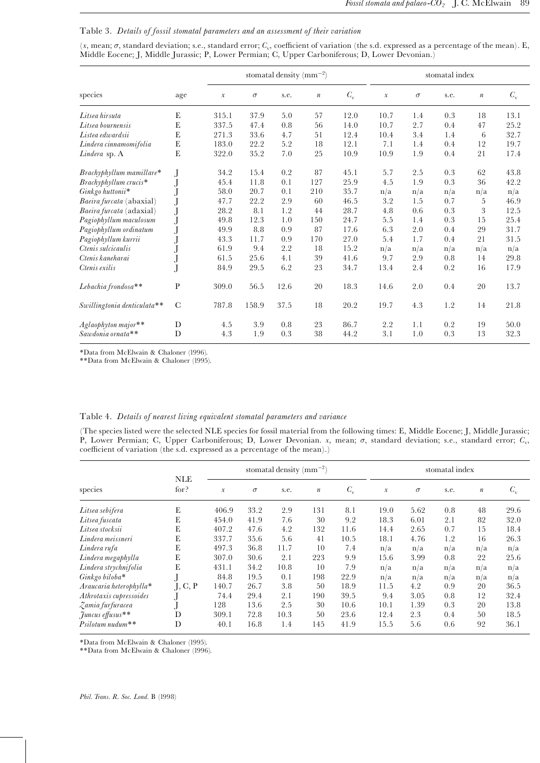# Table 3. Details of fossil stomatal parameters and an assessment of their variation

 $(x, \text{mean}; \sigma, \text{standard deviation}; s.e., \text{standard error}; C_v, \text{coefficient of variation (the s.d. expressed as a percentage of the mean). E,$ Middle Eocene; J, Middle Jurassic; P, Lower Permian; C, Upper Carboniferous; D, Lower Devonian.)

|                             |               | stomatal density (mm <sup>-2</sup> ) |          |      |                  |             | stomatal index      |          |         |                  |             |
|-----------------------------|---------------|--------------------------------------|----------|------|------------------|-------------|---------------------|----------|---------|------------------|-------------|
| species                     | age           | $\mathcal{X}% _{0}$                  | $\sigma$ | s.e. | $\boldsymbol{n}$ | $C_{\rm v}$ | $\mathcal{X}% _{0}$ | $\sigma$ | s.e.    | $\boldsymbol{n}$ | $C_{\rm v}$ |
| Litsea hirsuta              | ${\bf E}$     | 315.1                                | 37.9     | 5.0  | 57               | 12.0        | 10.7                | 1.4      | 0.3     | 18               | 13.1        |
| Litsea bournensis           | E             | 337.5                                | 47.4     | 0.8  | 56               | 14.0        | 10.7                | 2.7      | 0.4     | 47               | 25.2        |
| Listea edwardsii            | E             | 271.3                                | 33.6     | 4.7  | 51               | 12.4        | 10.4                | 3.4      | 1.4     | 6                | 32.7        |
| Lindera cinnamomifolia      | E             | 183.0                                | 22.2     | 5.2  | 18               | 12.1        | 7.1                 | 1.4      | 0.4     | 12               | 19.7        |
| Lindera sp. A               | E             | 322.0                                | 35.2     | 7.0  | 25               | 10.9        | 10.9                | 1.9      | 0.4     | 21               | 17.4        |
| $Brachyphyllum mamill are*$ | $\bf J$       | 34.2                                 | 15.4     | 0.2  | 87               | 45.1        | 5.7                 | 2.5      | 0.3     | 62               | 43.8        |
| Brachyphyllum crucis*       | J             | 45.4                                 | 11.8     | 0.1  | 127              | 25.9        | 4.5                 | 1.9      | 0.3     | 36               | 42.2        |
| Ginkgo huttonii*            |               | 58.0                                 | 20.7     | 0.1  | 210              | 35.7        | n/a                 | n/a      | n/a     | n/a              | n/a         |
| Baeira furcata (abaxial)    | J             | 47.7                                 | 22.2     | 2.9  | 60               | 46.5        | 3.2                 | 1.5      | 0.7     | 5                | 46.9        |
| Baeira furcata (adaxial)    | J             | 28.2                                 | 8.1      | 1.2  | 44               | 28.7        | 4.8                 | 0.6      | 0.3     | 3                | 12.5        |
| Pagiophyllum maculosum      | J             | 49.8                                 | 12.3     | 1.0  | 150              | 24.7        | 5.5                 | 1.4      | 0.3     | 15               | 25.4        |
| Pagiophyllum ordinatum      | J             | 49.9                                 | 8.8      | 0.9  | 87               | 17.6        | 6.3                 | 2.0      | 0.4     | 29               | 31.7        |
| Pagiophyllum kurrii         | J             | 43.3                                 | 11.7     | 0.9  | 170              | 27.0        | 5.4                 | 1.7      | 0.4     | 21               | 31.5        |
| Ctenis sulcicaulis          |               | 61.9                                 | 9.4      | 2.2  | 18               | 15.2        | n/a                 | n/a      | n/a     | n/a              | n/a         |
| Ctenis kaneharai            | J             | 61.5                                 | 25.6     | 4.1  | 39               | 41.6        | 9.7                 | 2.9      | $0.8\,$ | 14               | 29.8        |
| Ctenis exilis               |               | 84.9                                 | 29.5     | 6.2  | 23               | 34.7        | 13.4                | 2.4      | 0.2     | 16               | 17.9        |
| Lebachia frondosa**         | P             | 309.0                                | 56.5     | 12.6 | 20               | 18.3        | 14.6                | 2.0      | 0.4     | 20               | 13.7        |
| Swillingtonia denticulata** | $\mathcal{C}$ | 787.8                                | 158.9    | 37.5 | 18               | 20.2        | 19.7                | 4.3      | 1.2     | 14               | 21.8        |
| Aglaophyton major**         | D             | 4.5                                  | 3.9      | 0.8  | 23               | 86.7        | 2.2                 | 1.1      | 0.2     | 19               | 50.0        |
| Sawdonia ornata**           | D             | 4.3                                  | 1.9      | 0.3  | 38               | 44.2        | 3.1                 | 1.0      | 0.3     | 13               | 32.3        |

\*Data from McElwain & Chaloner (1996).

\*\*Data from McElwain & Chaloner (1995).

# Table 4. Details of nearest living equivalent stomatal parameters and variance

(The species listed were the selected NLE species for fossil material from the following times: E, Middle Eocene; J, Middle Jurassic; P, Lower Permian; C, Upper Carboniferous; D, Lower Devonian. x, mean;  $\sigma$ , standard deviation; s.e., standard error;  $C_v$ , coefficient of variation (the s.d. expressed as a percentage of the mean).)

|                         | <b>NLE</b><br>for? | stomatal density (mm <sup>-2</sup> ) |          |      |                  | stomatal index |               |          |      |                  |             |
|-------------------------|--------------------|--------------------------------------|----------|------|------------------|----------------|---------------|----------|------|------------------|-------------|
| species                 |                    | $\mathcal{X}$                        | $\sigma$ | s.e. | $\boldsymbol{n}$ | $C_{\rm v}$    | $\mathcal{X}$ | $\sigma$ | s.e. | $\boldsymbol{n}$ | $C_{\rm v}$ |
| Litsea sebifera         | E                  | 406.9                                | 33.2     | 2.9  | 131              | 8.1            | 19.0          | 5.62     | 0.8  | 48               | 29.6        |
| Litsea fuscata          | Е                  | 454.0                                | 41.9     | 7.6  | 30               | 9.2            | 18.3          | 6.01     | 2.1  | 82               | 32.0        |
| Litsea stocksii         | E                  | 407.2                                | 47.6     | 4.2  | 132              | 11.6           | 14.4          | 2.65     | 0.7  | 15               | 18.4        |
| Lindera meissneri       | E                  | 337.7                                | 35.6     | 5.6  | 41               | 10.5           | 18.1          | 4.76     | 1.2  | 16               | 26.3        |
| Lindera rufa            | Е                  | 497.3                                | 36.8     | 11.7 | 10               | 7.4            | n/a           | n/a      | n/a  | n/a              | n/a         |
| Lindera megaphylla      | Е                  | 307.0                                | 30.6     | 2.1  | 223              | 9.9            | 15.6          | 3.99     | 0.8  | 22               | 25.6        |
| Lindera strychnifolia   | E                  | 431.1                                | 34.2     | 10.8 | 10               | 7.9            | n/a           | n/a      | n/a  | n/a              | n/a         |
| Ginkgo biloba*          |                    | 84.8                                 | 19.5     | 0.1  | 198              | 22.9           | n/a           | n/a      | n/a  | n/a              | n/a         |
| Araucaria heterophylla* | J, C, P            | 140.7                                | 26.7     | 3.8  | 50               | 18.9           | 11.5          | 4.2      | 0.9  | 20               | 36.5        |
| Athrotaxis cupressoides |                    | 74.4                                 | 29.4     | 2.1  | 190              | 39.5           | 9.4           | 3.05     | 0.8  | 12               | 32.4        |
| Zamia furfuracea        |                    | 128                                  | 13.6     | 2.5  | 30               | 10.6           | 10.1          | 1.39     | 0.3  | 20               | 13.8        |
| funcus effusus**        | D                  | 309.1                                | 72.8     | 10.3 | 50               | 23.6           | 12.4          | 2.3      | 0.4  | 50               | 18.5        |
| Psilotum nudum**        | D                  | 40.1                                 | 16.8     | 1.4  | 145              | 41.9           | 15.5          | 5.6      | 0.6  | 92               | 36.1        |

\*Data from McElwain & Chaloner (1995).

\*\*Data from McElwain & Chaloner (1996).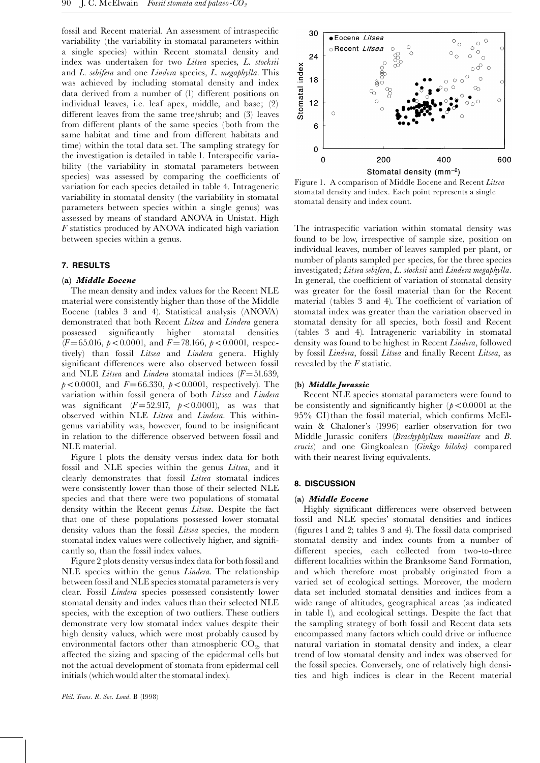fossil and Recent material. An assessment of intraspecific variability (the variability in stomatal parameters within a single species) within Recent stomatal density and index was undertaken for two Litsea species, L. stocksii and L. sebifera and one Lindera species, L. megaphylla. This was achieved by including stomatal density and index data derived from a number of (1) different positions on individual leaves, i.e. leaf apex, middle, and base; (2) different leaves from the same tree/shrub; and (3) leaves from different plants of the same species (both from the same habitat and time and from different habitats and time) within the total data set. The sampling strategy for the investigation is detailed in table 1. Interspecific variability (the variability in stomatal parameters between species) was assessed by comparing the coefficients of variation for each species detailed in table 4. Intrageneric variability in stomatal density (the variability in stomatal parameters between species within a single genus) was assessed by means of standard ANOVA in Unistat. High F statistics produced by ANOVA indicated high variation between species within a genus.

#### 7. RESULTS

#### (a) Middle Eocene

The mean density and index values for the Recent NLE material were consistently higher than those of the Middle Eocene (tables 3 and 4). Statistical analysis (ANOVA) demonstrated that both Recent Litsea and Lindera genera possessed signi¢cantly higher stomatal densities  $(F=65.016, p<0.0001, \text{ and } F=78.166, p<0.0001, \text{ respec-}$ tively) than fossil Litsea and Lindera genera. Highly significant differences were also observed between fossil and NLE Litsea and Lindera stomatal indices  $(F=51.639,$  $p < 0.0001$ , and  $F = 66.330$ ,  $p < 0.0001$ , respectively). The variation within fossil genera of both Litsea and Lindera was significant  $(F=52.917, p<0.0001)$ , as was that observed within NLE Litsea and Lindera. This withingenus variability was, however, found to be insignificant in relation to the difference observed between fossil and NLE material.

Figure 1 plots the density versus index data for both fossil and NLE species within the genus Litsea, and it clearly demonstrates that fossil Litsea stomatal indices were consistently lower than those of their selected NLE species and that there were two populations of stomatal density within the Recent genus Litsea. Despite the fact that one of these populations possessed lower stomatal density values than the fossil Litsea species, the modern stomatal index values were collectively higher, and significantly so, than the fossil index values.

Figure 2 plots density versus index data for both fossil and NLE species within the genus *Lindera*. The relationship between fossil and NLE species stomatal parameters is very clear. Fossil Lindera species possessed consistently lower stomatal density and index values than their selected NLE species, with the exception of two outliers. These outliers demonstrate very low stomatal index values despite their high density values, which were most probably caused by environmental factors other than atmospheric  $CO<sub>2</sub>$ , that affected the sizing and spacing of the epidermal cells but not the actual development of stomata from epidermal cell initials (which would alter the stomatal index).



Figure 1. A comparison of Middle Eocene and Recent Litsea stomatal density and index. Each point represents a single stomatal density and index count.

The intraspecific variation within stomatal density was found to be low, irrespective of sample size, position on individual leaves, number of leaves sampled per plant, or number of plants sampled per species, for the three species investigated; Litsea sebifera, L. stocksii and Lindera megaphylla. In general, the coefficient of variation of stomatal density was greater for the fossil material than for the Recent material (tables 3 and 4). The coefficient of variation of stomatal index was greater than the variation observed in stomatal density for all species, both fossil and Recent (tables 3 and 4). Intrageneric variability in stomatal density was found to be highest in Recent Lindera, followed by fossil Lindera, fossil Litsea and finally Recent Litsea, as revealed by the F statistic.

# (b) Middle Jurassic

Recent NLE species stomatal parameters were found to be consistently and significantly higher  $(p<0.0001$  at the  $95\%$  CI)than the fossil material, which confirms McElwain & Chaloner's (1996) earlier observation for two Middle Jurassic conifers (Brachyphyllum mamillare and B. crucis) and one Gingkoalean (Ginkgo biloba) compared with their nearest living equivalents.

#### 8. DISCUSSION

#### (a) Middle Eocene

Highly significant differences were observed between fossil and NLE species' stomatal densities and indices (¢gures 1 and 2; tables 3 and 4). The fossil data comprised stomatal density and index counts from a number of different species, each collected from two-to-three different localities within the Branksome Sand Formation, and which therefore most probably originated from a varied set of ecological settings. Moreover, the modern data set included stomatal densities and indices from a wide range of altitudes, geographical areas (as indicated in table 1), and ecological settings. Despite the fact that the sampling strategy of both fossil and Recent data sets encompassed many factors which could drive or influence natural variation in stomatal density and index, a clear trend of low stomatal density and index was observed for the fossil species. Conversely, one of relatively high densities and high indices is clear in the Recent material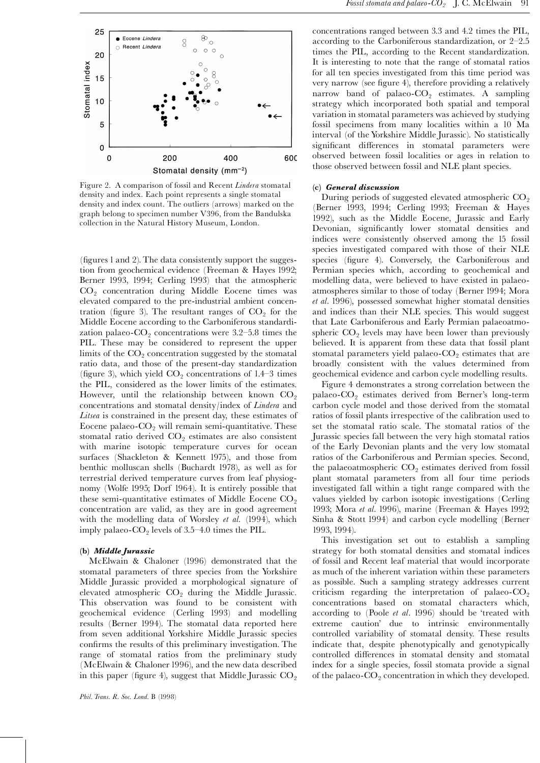

Figure 2. A comparison of fossil and Recent Lindera stomatal density and index. Each point represents a single stomatal density and index count. The outliers (arrows) marked on the graph belong to specimen number V396, from the Bandulska collection in the Natural History Museum, London.

 $(figures 1 and 2)$ . The data consistently support the suggestion from geochemical evidence (Freeman & Hayes 1992; Berner 1993, 1994; Cerling 1993) that the atmospheric CO2 concentration during Middle Eocene times was elevated compared to the pre-industrial ambient concentration (figure 3). The resultant ranges of  $CO<sub>2</sub>$  for the Middle Eocene according to the Carboniferous standardization palaeo- $CO<sub>2</sub>$  concentrations were 3.2-5.8 times the PIL. These may be considered to represent the upper limits of the  $CO<sub>2</sub>$  concentration suggested by the stomatal ratio data, and those of the present-day standardization (figure 3), which yield  $CO<sub>2</sub>$  concentrations of 1.4-3 times the PIL, considered as the lower limits of the estimates. However, until the relationship between known  $CO<sub>2</sub>$ concentrations and stomatal density/index of Lindera and Litsea is constrained in the present day, these estimates of Eocene palaeo- $CO<sub>2</sub>$  will remain semi-quantitative. These stomatal ratio derived  $CO<sub>2</sub>$  estimates are also consistent with marine isotopic temperature curves for ocean surfaces (Shackleton & Kennett 1975), and those from benthic molluscan shells (Buchardt 1978), as well as for terrestrial derived temperature curves from leaf physiognomy (Wolfe 1995; Dorf 1964). It is entirely possible that these semi-quantitative estimates of Middle Eocene  $CO<sub>2</sub>$ concentration are valid, as they are in good agreement with the modelling data of Worsley et al. (1994), which imply palaeo- $CO_2$  levels of 3.5–4.0 times the PIL.

#### (b) Middle Jurassic

McElwain & Chaloner (1996) demonstrated that the stomatal parameters of three species from the Yorkshire Middle Jurassic provided a morphological signature of elevated atmospheric  $CO<sub>2</sub>$  during the Middle Jurassic. This observation was found to be consistent with geochemical evidence (Cerling 1993) and modelling results (Berner 1994). The stomatal data reported here from seven additional Yorkshire Middle Jurassic species confirms the results of this preliminary investigation. The range of stomatal ratios from the preliminary study (McElwain & Chaloner 1996), and the new data described in this paper (figure 4), suggest that Middle Jurassic  $CO<sub>2</sub>$ 

concentrations ranged between 3.3 and 4.2 times the PIL, according to the Carboniferous standardization, or  $2-2.5$ times the PIL, according to the Recent standardization. It is interesting to note that the range of stomatal ratios for all ten species investigated from this time period was very narrow (see figure 4), therefore providing a relatively narrow band of palaeo- $CO<sub>2</sub>$  estimates. A sampling strategy which incorporated both spatial and temporal variation in stomatal parameters was achieved by studying fossil specimens from many localities within a 10 Ma interval (of the Yorkshire Middle Jurassic). No statistically significant differences in stomatal parameters were observed between fossil localities or ages in relation to those observed between fossil and NLE plant species.

#### (c) General discussion

During periods of suggested elevated atmospheric  $CO<sub>2</sub>$ (Berner 1993, 1994; Cerling 1993; Freeman & Hayes 1992), such as the Middle Eocene, Jurassic and Early Devonian, significantly lower stomatal densities and indices were consistently observed among the 15 fossil species investigated compared with those of their NLE species (figure 4). Conversely, the Carboniferous and Permian species which, according to geochemical and modelling data, were believed to have existed in palaeoatmospheres similar to those of today (Berner 1994; Mora et al. 1996), possessed somewhat higher stomatal densities and indices than their NLE species. This would suggest that Late Carboniferous and Early Permian palaeoatmospheric  $CO<sub>2</sub>$  levels may have been lower than previously believed. It is apparent from these data that fossil plant stomatal parameters yield palaeo- $CO<sub>2</sub>$  estimates that are broadly consistent with the values determined from geochemical evidence and carbon cycle modelling results.

Figure 4 demonstrates a strong correlation between the palaeo-CO<sub>2</sub> estimates derived from Berner's long-term carbon cycle model and those derived from the stomatal ratios of fossil plants irrespective of the calibration used to set the stomatal ratio scale. The stomatal ratios of the Jurassic species fall between the very high stomatal ratios of the Early Devonian plants and the very low stomatal ratios of the Carboniferous and Permian species. Second, the palaeoatmospheric  $CO<sub>2</sub>$  estimates derived from fossil plant stomatal parameters from all four time periods investigated fall within a tight range compared with the values yielded by carbon isotopic investigations (Cerling 1993; Mora et al. 1996), marine (Freeman & Hayes 1992; Sinha & Stott 1994) and carbon cycle modelling (Berner 1993, 1994).

This investigation set out to establish a sampling strategy for both stomatal densities and stomatal indices of fossil and Recent leaf material that would incorporate as much of the inherent variation within these parameters as possible. Such a sampling strategy addresses current criticism regarding the interpretation of palaeo- $CO<sub>2</sub>$ concentrations based on stomatal characters which, according to (Poole et al. 1996) should be 'treated with extreme caution' due to intrinsic environmentally controlled variability of stomatal density. These results indicate that, despite phenotypically and genotypically controlled differences in stomatal density and stomatal index for a single species, fossil stomata provide a signal of the palaeo- $CO<sub>2</sub>$  concentration in which they developed.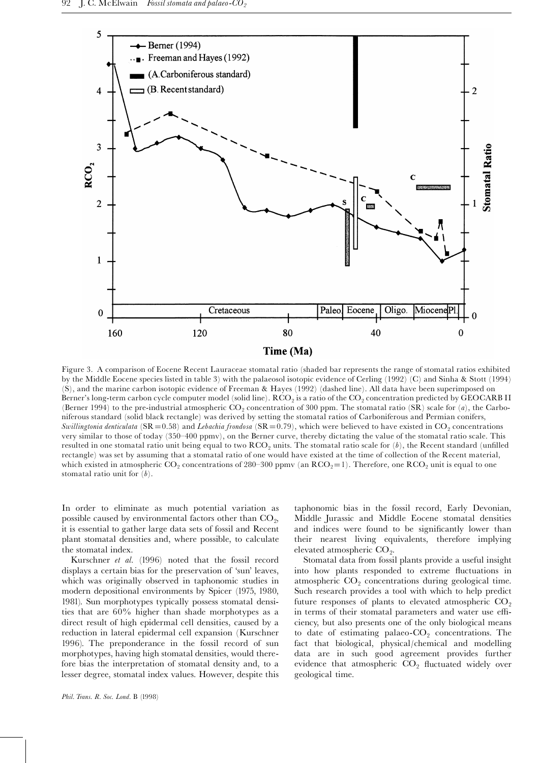

Figure 3. A comparison of Eocene Recent Lauraceae stomatal ratio (shaded bar represents the range of stomatal ratios exhibited by the Middle Eocene species listed in table 3) with the palaeosol isotopic evidence of Cerling (1992) (C) and Sinha & Stott (1994) (S), and the marine carbon isotopic evidence of Freeman & Hayes (1992) (dashed line). All data have been superimposed on Berner's long-term carbon cycle computer model (solid line).  $RCO_2$  is a ratio of the  $CO_2$  concentration predicted by GEOCARB II (Berner 1994) to the pre-industrial atmospheric  $CO_2$  concentration of 300 ppm. The stomatal ratio (SR) scale for (a), the Carboniferous standard (solid black rectangle) was derived by setting the stomatal ratios of Carboniferous and Permian conifers, Swillingtonia denticulata (SR = 0.58) and Lebachia frondosa (SR = 0.79), which were believed to have existed in CO<sub>2</sub> concentrations very similar to those of today (350^400 ppmv), on the Berner curve, thereby dictating the value of the stomatal ratio scale. This resulted in one stomatal ratio unit being equal to two  $RCO<sub>2</sub>$  units. The stomatal ratio scale for  $(b)$ , the Recent standard (unfilled rectangle) was set by assuming that a stomatal ratio of one would have existed at the time of collection of the Recent material, which existed in atmospheric  $CO_2$  concentrations of 280-300 ppmv (an  $RCO_2=1$ ). Therefore, one  $RCO_2$  unit is equal to one stomatal ratio unit for  $(b)$ .

In order to eliminate as much potential variation as possible caused by environmental factors other than  $CO<sub>2</sub>$ , it is essential to gather large data sets of fossil and Recent plant stomatal densities and, where possible, to calculate the stomatal index.

Kurschner et al. (1996) noted that the fossil record displays a certain bias for the preservation of 'sun' leaves, which was originally observed in taphonomic studies in modern depositional environments by Spicer (1975, 1980, 1981). Sun morphotypes typically possess stomatal densities that are 60% higher than shade morphotypes as a direct result of high epidermal cell densities, caused by a reduction in lateral epidermal cell expansion (Kurschner 1996). The preponderance in the fossil record of sun morphotypes, having high stomatal densities, would therefore bias the interpretation of stomatal density and, to a lesser degree, stomatal index values. However, despite this taphonomic bias in the fossil record, Early Devonian, Middle Jurassic and Middle Eocene stomatal densities and indices were found to be significantly lower than their nearest living equivalents, therefore implying elevated atmospheric  $CO<sub>2</sub>$ .

Stomatal data from fossil plants provide a useful insight into how plants responded to extreme fluctuations in atmospheric  $CO<sub>2</sub>$  concentrations during geological time. Such research provides a tool with which to help predict future responses of plants to elevated atmospheric  $CO<sub>2</sub>$ in terms of their stomatal parameters and water use efficiency, but also presents one of the only biological means to date of estimating palaeo- $CO_2$  concentrations. The fact that biological, physical/chemical and modelling data are in such good agreement provides further evidence that atmospheric  $CO<sub>2</sub>$  fluctuated widely over geological time.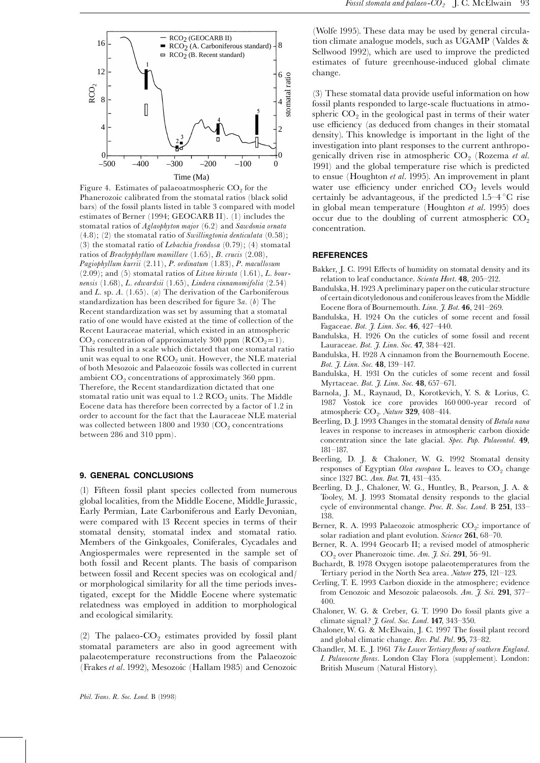

Figure 4. Estimates of palaeoatmospheric  $CO<sub>2</sub>$  for the Phanerozoic calibrated from the stomatal ratios (black solid bars) of the fossil plants listed in table 3 compared with model estimates of Berner (1994; GEOCARB II). (1) includes the stomatal ratios of Aglaophyton major (6.2) and Sawdonia ornata  $(4.8)$ ;  $(2)$  the stomatal ratio of Swillingtonia denticulata  $(0.58)$ ; (3) the stomatal ratio of *Lebachia frondosa*  $(0.79)$ ; (4) stomatal ratios of Brachyphyllum mamillare (1.65), B. crucis (2.08), Pagiophyllum kurrii (2.11), P. ordinatum (1.83), P. macullosum  $(2.09)$ ; and  $(5)$  stomatal ratios of Litsea hirsuta  $(1.61)$ , L. bournensis (1.68), L. edwardsii (1.65), Lindera cinnamomifolia (2.54) and L. sp.  $A$ . (1.65). (a) The derivation of the Carboniferous standardization has been described for figure  $3a$ . (b) The Recent standardization was set by assuming that a stomatal ratio of one would have existed at the time of collection of the Recent Lauraceae material, which existed in an atmospheric  $CO<sub>2</sub>$  concentration of approximately 300 ppm (RCO<sub>2</sub>=1). This resulted in a scale which dictated that one stomatal ratio unit was equal to one  $RCO<sub>2</sub>$  unit. However, the NLE material of both Mesozoic and Palaeozoic fossils was collected in current ambient  $CO<sub>2</sub>$  concentrations of approximately 360 ppm. Therefore, the Recent standardization dictated that one stomatal ratio unit was equal to  $1.2 \text{ RCO}_2$  units. The Middle Eocene data has therefore been corrected by a factor of 1.2 in order to account for the fact that the Lauraceae NLE material was collected between 1800 and 1930  $(CO<sub>2</sub>$  concentrations between 286 and 310 ppm).

#### 9. GENERAL CONCLUSIONS

(1) Fifteen fossil plant species collected from numerous global localities, from the Middle Eocene, Middle Jurassic, Early Permian, Late Carboniferous and Early Devonian, were compared with 13 Recent species in terms of their stomatal density, stomatal index and stomatal ratio. Members of the Ginkgoales, Coniferales, Cycadales and Angiospermales were represented in the sample set of both fossil and Recent plants. The basis of comparison between fossil and Recent species was on ecological and/ or morphological similarity for all the time periods investigated, except for the Middle Eocene where systematic relatedness was employed in addition to morphological and ecological similarity.

(2) The palaeo- $CO<sub>2</sub>$  estimates provided by fossil plant stomatal parameters are also in good agreement with palaeotemperature reconstructions from the Palaeozoic (Frakes et al. 1992), Mesozoic (Hallam 1985) and Cenozoic (Wolfe 1995). These data may be used by general circulation climate analogue models, such as UGAMP (Valdes & Sellwood 1992), which are used to improve the predicted estimates of future greenhouse-induced global climate change.

(3) These stomatal data provide useful information on how fossil plants responded to large-scale fluctuations in atmospheric  $CO<sub>2</sub>$  in the geological past in terms of their water use efficiency (as deduced from changes in their stomatal density). This knowledge is important in the light of the investigation into plant responses to the current anthropogenically driven rise in atmospheric  $CO<sub>2</sub>$  (Rozema et al. 1991) and the global temperature rise which is predicted to ensue (Houghton et al. 1995). An improvement in plant water use efficiency under enriched  $CO<sub>2</sub>$  levels would certainly be advantageous, if the predicted  $1.5-4$  °C rise in global mean temperature (Houghton et al. 1995) does occur due to the doubling of current atmospheric  $CO<sub>2</sub>$ concentration.

#### **REFERENCES**

- Bakker, J. C. 1991 Effects of humidity on stomatal density and its relation to leaf conductance. Scienta Hort. 48, 205-212.
- Bandulska, H.1923 A preliminary paper onthe cuticularstructure of certain dicotyledonous and coniferous leaves from the Middle Eocene flora of Bournemouth. Linn.  $\tilde{J}$ . Bot. 46, 241-269.
- Bandulska, H. 1924 On the cuticles of some recent and fossil Fagaceae. Bot. J. Linn. Soc. 46, 427-440.
- Bandulska, H. 1926 On the cuticles of some fossil and recent Lauraceae. Bot. J. Linn. Soc. 47, 384-421.
- Bandulska, H. 1928 A cinnamon from the Bournemouth Eocene. Bot. J. Linn. Soc. 48, 139-147.
- Bandulska, H. 1931 On the cuticles of some recent and fossil Myrtaceae. *Bot. J. Linn. Soc.* **48**, 657-671.
- Barnola, J. M., Raynaud, D., Korotkevich, Y. S. & Lorius, C. 1987 Vostok ice core provides 160 000-year record of atmospheric  $CO<sub>2</sub>$ . Nature 329, 408-414.
- Beerling, D. J. 1993 Changes in the stomatal density of Betula nana leaves in response to increases in atmospheric carbon dioxide concentration since the late glacial. Spec. Pap. Palaeontol. 49, 181^187.
- Beerling, D. J. & Chaloner, W. G. 1992 Stomatal density responses of Egyptian Olea europaea L. leaves to  $CO<sub>2</sub>$  change since 1327 BC. Ann. Bot. 71, 431-435.
- Beerling, D. J., Chaloner, W. G., Huntley, B., Pearson, J. A. & Tooley, M. J. 1993 Stomatal density responds to the glacial cycle of environmental change. Proc. R. Soc. Lond. B 251, 133– 138.
- Berner, R. A. 1993 Palaeozoic atmospheric  $CO<sub>2</sub>$ : importance of solar radiation and plant evolution. Science 261, 68-70.
- Berner, R. A. 1994 Geocarb II; a revised model of atmospheric  $CO<sub>2</sub>$  over Phanerozoic time. Am. J. Sci. 291, 56-91.
- Buchardt, B. 1978 Oxygen isotope palaeotemperatures from the Tertiary period in the North Sea area. Nature 275, 121-123.
- Cerling, T. E. 1993 Carbon dioxide in the atmosphere; evidence from Cenozoic and Mesozoic palaeosols. Am.  $\tilde{J}$ . Sci. 291, 377– 400.
- Chaloner, W. G. & Creber, G. T. 1990 Do fossil plants give a climate signal? *J. Geol. Soc. Lond.* **147**, 343-350.
- Chaloner, W. G. & McElwain, J. C. 1997 The fossil plant record and global climatic change. Rev. Pal. Pal. 95, 73-82.
- Chandler, M. E. J. 1961 The Lower Tertiary floras of southern England. I. Palaeocene floras. London Clay Flora (supplement). London: British Museum (Natural History).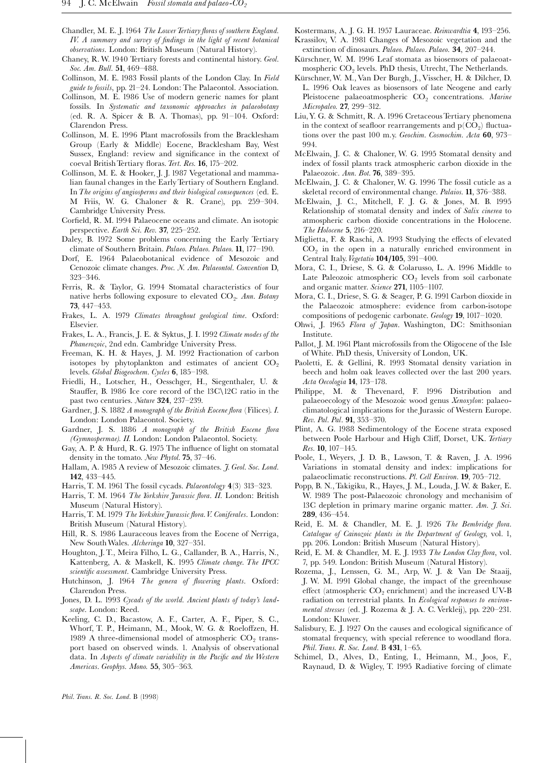- Chandler, M. E. J. 1964 The Lower Tertiary floras of southern England. IV. A summary and survey of findings in the light of recent botanical observations. London: British Museum (Natural History).
- Chaney, R.W. 1940 Tertiary forests and continental history. Geol. Soc. Am. Bull. 51, 469-488.
- Collinson, M. E. 1983 Fossil plants of the London Clay. In Field guide to fossils, pp. 21-24. London: The Palaeontol. Association.
- Collinson, M. E. 1986 Use of modern generic names for plant fossils. In Systematic and taxonomic approaches in palaeobotany (ed. R. A. Spicer & B. A. Thomas), pp. 91^104. Oxford: Clarendon Press.
- Collinson, M. E. 1996 Plant macrofossils from the Bracklesham Group (Early & Middle) Eocene, Bracklesham Bay, West Sussex, England: review and significance in the context of coeval British Tertiary floras. Tert. Res.  $16$ , 175-202.
- Collinson, M. E. & Hooker, J. J. 1987 Vegetational and mammalian faunal changes in the EarlyTertiary of Southern England. InThe origins of angiosperms and their biological consequences (ed. E. M Friis, W. G. Chaloner & R. Crane), pp. 259^304. Cambridge University Press.
- Corfield, R. M. 1994 Palaeocene oceans and climate. An isotopic perspective. Earth Sci. Rev. 37, 225-252.
- Daley, B. 1972 Some problems concerning the Early Tertiary climate of Southern Britain. Palaeo. Palaeo. Palaeo. 11, 177-190.
- Dorf, E. 1964 Palaeobotanical evidence of Mesozoic and Cenozoic climate changes. Proc. N. Am. Palaeontol. Convention D, 323^346.
- Ferris, R. & Taylor, G. 1994 Stomatal characteristics of four native herbs following exposure to elevated  $CO<sub>2</sub>$ . Ann. Botany 73, 447^453.
- Frakes, L. A. 1979 Climates throughout geological time. Oxford: Elsevier.
- Frakes, L. A., Francis, J. E. & Syktus, J. I. 1992 Climate modes of the Phanerozoic, 2nd edn. Cambridge University Press.
- Freeman, K. H. & Hayes, J. M. 1992 Fractionation of carbon isotopes by phytoplankton and estimates of ancient  $CO<sub>2</sub>$ levels. Global Biogeochem. Cycles 6, 185-198.
- Friedli, H., Lotscher, H., Oesschger, H., Siegenthaler, U. & Stauffer, B. 1986 Ice core record of the  $13C\12C$  ratio in the past two centuries. Nature 324, 237-239.
- Gardner, J. S. 1882 A monograph of the British Eocene flora (Filices). I. London: London Palaeontol. Society.
- Gardner, J. S. 1886 A monograph of the British Eocene flora (Gymnospermae). II. London: London Palaeontol. Society.
- Gay, A. P. & Hurd, R. G. 1975 The influence of light on stomatal density in the tomato. New Phytol. 75, 37-46.
- Hallam, A. 1985 A review of Mesozoic climates. J. Geol. Soc. Lond. 142, 433^445.
- Harris, T. M. 1961 The fossil cycads. *Palaeontology* 4(3) 313-323.
- Harris, T. M. 1964 The Yorkshire Jurassic flora. II. London: British Museum (Natural History).
- Harris, T. M. 1979 The Yorkshire Jurassic flora. V. Coniferales. London: British Museum (Natural History).
- Hill, R. S. 1986 Lauraceous leaves from the Eocene of Nerriga, New South Wales. Alcheringa 10, 327-351.
- Houghton, J. T., Meira Filho, L. G., Callander, B. A., Harris, N., Kattenberg, A. & Maskell, K. 1995 Climate change. The IPCC scientific assessment. Cambridge University Press.
- Hutchinson, J. 1964 The genera of flowering plants. Oxford: Clarendon Press.
- Jones, D. L. 1993 Cycads of the world. Ancient plants of today's landscape. London: Reed.
- Keeling, C. D., Bacastow, A. F., Carter, A. F., Piper, S. C., Whorf, T. P., Heimann, M., Mook, W. G. & Roeloffzen, H. 1989 A three-dimensional model of atmospheric  $CO_2$  transport based on observed winds. 1. Analysis of observational data. In Aspects of climate variability in the Pacific and the Western Americas. Geophys. Mono. 55, 305-363.

Kostermans, A. J. G. H. 1957 Lauraceae. Reinwardtia 4, 193-256.

- Krassilov, V. A. 1981 Changes of Mesozoic vegetation and the extinction of dinosaurs. Palaeo. Palaeo. Palaeo. 34, 207-244.
- Kürschner, W. M. 1996 Leaf stomata as biosensors of palaeoatmospheric  $CO<sub>2</sub>$  levels. PhD thesis, Utrecht, The Netherlands.
- Kürschner, W. M., Van Der Burgh, J., Visscher, H. & Dilcher, D. L. 1996 Oak leaves as biosensors of late Neogene and early Pleistocene palaeoatmospheric  $CO_2$  concentrations. Marine Micropaleo. 27, 299-312.
- Liu, Y. G. & Schmitt, R. A. 1996 Cretaceous Tertiary phenomena in the context of seafloor rearrangements and  $p(CO<sub>2</sub>)$  fluctuations over the past 100 m.y. Geochim. Cosmochim. Acta  $60$ , 973– 994.
- McElwain, J. C. & Chaloner, W. G. 1995 Stomatal density and index of fossil plants track atmospheric carbon dioxide in the Palaeozoic. Ann. Bot. 76, 389-395.
- McElwain, J. C. & Chaloner, W. G. 1996 The fossil cuticle as a skeletal record of environmental change. Palaios. 11, 376-388.
- McElwain, J. C., Mitchell, F. J. G. & Jones, M. B. 1995 Relationship of stomatal density and index of Salix cinerea to atmospheric carbon dioxide concentrations in the Holocene. The Holocene 5, 216-220.
- Miglietta, F. & Raschi, A. 1993 Studying the effects of elevated  $CO<sub>2</sub>$  in the open in a naturally enriched environment in Central Italy. Vegetatio 104/105, 391-400.
- Mora, C. I., Driese, S. G. & Colarusso, L. A. 1996 Middle to Late Paleozoic atmospheric  $CO<sub>2</sub>$  levels from soil carbonate and organic matter. Science 271, 1105-1107.
- Mora, C. I., Driese, S. G. & Seager, P. G. 1991 Carbon dioxide in the Palaeozoic atmosphere: evidence from carbon-isotope compositions of pedogenic carbonate. Geology 19, 1017-1020.
- Ohwi, J. 1965 Flora of Japan. Washington, DC: Smithsonian Institute.
- Pallot, J. M. 1961 Plant microfossils from the Oligocene of the Isle of White. PhD thesis, University of London, UK.
- Paoletti, E. & Gellini, R. 1993 Stomatal density variation in beech and holm oak leaves collected over the last 200 years. Acta Oecologia 14, 173-178.
- Philippe, M. & Thevenard, F. 1996 Distribution and palaeoecology of the Mesozoic wood genus Xenoxylon: palaeoclimatological implications for the Jurassic of Western Europe. Rev. Pal. Pal. 91, 353-370.
- Plint, A. G. 1988 Sedimentology of the Eocene strata exposed between Poole Harbour and High Cliff, Dorset, UK. Tertiary Res. 10,  $107-145$ .
- Poole, I., Weyers, J. D. B., Lawson, T. & Raven, J. A. 1996 Variations in stomatal density and index: implications for palaeoclimatic reconstructions. Pl. Cell Environ. 19, 705-712.
- Popp, B. N., Takigiku, R., Hayes, J. M., Louda, J. W. & Baker, E. W. 1989 The post-Palaeozoic chronology and mechanisim of 13C depletion in primary marine organic matter. Am. J. Sci. 289, 436^454.
- Reid, E. M. & Chandler, M. E. J. 1926 The Bembridge flora. Catalogue of Cainozoic plants in the Department of Geology, vol. 1, pp. 206. London: British Museum (Natural History).
- Reid, E. M. & Chandler, M. E. J. 1933 The London Clay flora, vol. 7, pp. 549. London: British Museum (Natural History).
- Rozema, J., Lenssen, G. M., Arp, W. J. & Van De Staaij, J. W. M. 1991 Global change, the impact of the greenhouse effect (atmospheric  $\mathrm{CO}_2$  enrichment) and the increased UV-B radiation on terrestrial plants. In Ecological responses to environmental stresses (ed. J. Rozema & J. A. C. Verkleij), pp. 220-231. London: Kluwer.
- Salisbury, E. J. 1927 On the causes and ecological significance of stomatal frequency, with special reference to woodland flora. Phil. Trans. R. Soc. Lond. B 431, 1-65.
- Schimel, D., Alves, D., Enting, I., Heimann, M., Joos, F., Raynaud, D. & Wigley, T. 1995 Radiative forcing of climate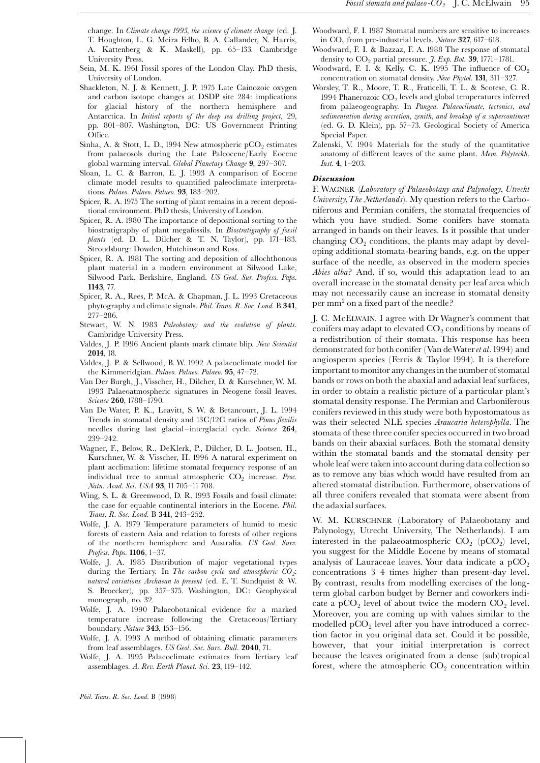- Sein, M. K. 1961 Fossil spores of the London Clay. PhD thesis, University of London.
- Shackleton, N. J. & Kennett, J. P. 1975 Late Cainozoic oxygen and carbon isotope changes at DSDP site 284: implications for glacial history of the northern hemisphere and Antarctica. In Initial reports of the deep sea drilling project, 29, pp. 801-807. Washington, DC: US Government Printing Office.
- Sinha, A. & Stott, L. D., 1994 New atmospheric  $pCO<sub>2</sub>$  estimates from palaeosols during the Late Paleocene/Early Eocene global warming interval. Global Planetary Change 9, 297-307.
- Sloan, L. C. & Barron, E. J. 1993 A comparison of Eocene climate model results to quantified paleoclimate interpretations. Palaeo. Palaeo. Palaeo. 93, 183-202.
- Spicer, R. A. 1975 The sorting of plant remains in a recent depositional environment. PhD thesis, University of London.
- Spicer, R. A. 1980 The importance of depositional sorting to the biostratigraphy of plant megafossils. In Biostratigraphy of fossil  $plants$  (ed. D. L. Dilcher & T. N. Taylor), pp. 171-183. Stroudsburg: Dowden, Hutchinson and Ross.
- Spicer, R. A. 1981 The sorting and deposition of allochthonous plant material in a modern environment at Silwood Lake, Silwood Park, Berkshire, England. US Geol. Sur. Profess. Paps. 1143, 77.
- Spicer, R. A., Rees, P. McA. & Chapman, J. L. 1993 Cretaceous phytography and climate signals. Phil.Trans. R. Soc. Lond. B 341,  $277 - 286.$
- Stewart, W. N. 1983 Paleobotany and the evolution of plants. Cambridge University Press.
- Valdes, J. P. 1996 Ancient plants mark climate blip. New Scientist 2014, 18.
- Valdes, J. P. & Sellwood, B. W. 1992 A palaeoclimate model for the Kimmeridgian. Palaeo. Palaeo. Palaeo. 95, 47-72.
- Van Der Burgh, J.,Visscher, H., Dilcher, D. & Kurschner,W. M. 1993 Palaeoatmospheric signatures in Neogene fossil leaves. Science 260, 1788-1790.
- Van De Water, P. K., Leavitt, S. W. & Betancourt, J. L. 1994 Trends in stomatal density and  $13C/12C$  ratios of *Pinus flexilis* needles during last glacial-interglacial cycle. Science 264, 239^242.
- Wagner, F., Below, R., DeKlerk, P., Dilcher, D. L. Jootsen, H., Kurschner, W. & Visscher, H. 1996 A natural experiment on plant acclimation: lifetime stomatal frequency response of an individual tree to annual atmospheric  $CO<sub>2</sub>$  increase. Proc. Natn. Acad. Sci. USA 93, 11 705-11 708.
- Wing, S. L. & Greenwood, D. R. 1993 Fossils and fossil climate: the case for equable continental interiors in the Eocene. Phil. Trans. R. Soc. Lond. B 341, 243-252.
- Wolfe, J. A. 1979 Temperature parameters of humid to mesic forests of eastern Asia and relation to forests of other regions of the northern hemisphere and Australia. US Geol. Surv. Profess. Paps. 1106, 1-37.
- Wolfe, J. A. 1985 Distribution of major vegetational types during the Tertiary. In The carbon cycle and atmospheric  $CO<sub>2</sub>$ : natural variations Archaean to present (ed. E. T. Sundquist & W. S. Broecker), pp. 357-375. Washington, DC: Geophysical monograph, no. 32.
- Wolfe, J. A. 1990 Palaeobotanical evidence for a marked temperature increase following the Cretaceous/Tertiary boundary. Nature 343, 153-156.
- Wolfe, J. A. 1993 A method of obtaining climatic parameters from leaf assemblages. US Geol. Soc. Surv. Bull. 2040, 71.
- Wolfe, J. A. 1995 Palaeoclimate estimates from Tertiary leaf assemblages. A. Rev. Earth Planet. Sci. 23, 119-142.
- Woodward, F. I. 1987 Stomatal numbers are sensitive to increases in  $CO<sub>2</sub>$  from pre-industrial levels. Nature 327, 617-618.
- Woodward, F. I. & Bazzaz, F. A. 1988 The response of stomatal density to  $CO<sub>2</sub>$  partial pressure. *J. Exp. Bot.* **39**, 1771-1781.
- Woodward, F. I. & Kelly, C. K. 1995 The influence of  $CO<sub>2</sub>$ concentration on stomatal density. New Phytol. 131, 311-327.
- Worsley, T. R., Moore, T. R., Fraticelli, T. L. & Scotese, C. R. 1994 Phanerozoic  $CO_2$  levels and global temperatures inferred from palaeogeography. In Pangea. Palaeoclimate, tectonics, and sedimentation during accretion, zenith, and breakup of a supercontinent (ed. G. D. Klein), pp. 57^73. Geological Society of America Special Paper.
- Zalenski, V. 1904 Materials for the study of the quantitative anatomy of different leaves of the same plant. Mem. Polyteckh. *Inst.* 4,  $1-203$ .

#### Discussion

F. WAGNER (Laboratory of Palaeobotany and Palynology, Utrecht University,The Netherlands). My question refers to the Carboniferous and Permian conifers, the stomatal frequencies of which you have studied. Some conifers have stomata arranged in bands on their leaves. Is it possible that under changing  $CO<sub>2</sub>$  conditions, the plants may adapt by developing additional stomata-bearing bands, e.g. on the upper surface of the needle, as observed in the modern species Abies alba? And, if so, would this adaptation lead to an overall increase in the stomatal density per leaf area which may not necessarily cause an increase in stomatal density per mm<sup>2</sup> on a fixed part of the needle?

J. C. McELWAIN. I agree with Dr Wagner's comment that conifers may adapt to elevated  $CO<sub>2</sub>$  conditions by means of a redistribution of their stomata. This response has been demonstrated for both conifer (Van de Water et al. 1994) and angiosperm species (Ferris & Taylor 1994). It is therefore important to monitor any changes in the number of stomatal bands or rows on both the abaxial and adaxial leaf surfaces, in order to obtain a realistic picture of a particular plant's stomatal density response.The Permian and Carboniferous conifers reviewed in this study were both hypostomatous as was their selected NLE species Araucaria heterophylla. The stomata of these three conifer species occurred in two broad bands on their abaxial surfaces. Both the stomatal density within the stomatal bands and the stomatal density per whole leaf were taken into account during data collection so as to remove any bias which would have resulted from an altered stomatal distribution. Furthermore, observations of all three conifers revealed that stomata were absent from the adaxial surfaces.

W. M. KÜRSCHNER (Laboratory of Palaeobotany and Palynology, Utrecht University, The Netherlands). I am interested in the palaeoatmospheric  $CO_2$  (pCO<sub>2</sub>) level, you suggest for the Middle Eocene by means of stomatal analysis of Lauraceae leaves. Your data indicate a  $pCO<sub>2</sub>$ concentrations 3^4 times higher than present-day level. By contrast, results from modelling exercises of the longterm global carbon budget by Berner and coworkers indicate a pCO<sub>2</sub> level of about twice the modern  $CO<sub>2</sub>$  level. Moreover, you are coming up with values similar to the modelled  $pCO<sub>2</sub>$  level after you have introduced a correction factor in you original data set. Could it be possible, however, that your initial interpretation is correct because the leaves originated from a dense (sub)tropical forest, where the atmospheric  $CO<sub>2</sub>$  concentration within